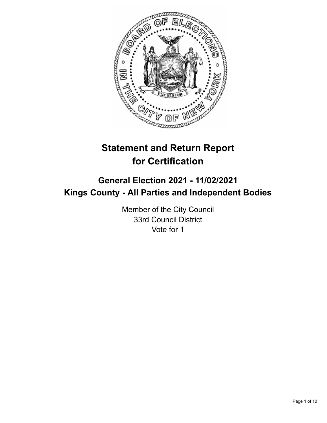

# **Statement and Return Report for Certification**

## **General Election 2021 - 11/02/2021 Kings County - All Parties and Independent Bodies**

Member of the City Council 33rd Council District Vote for 1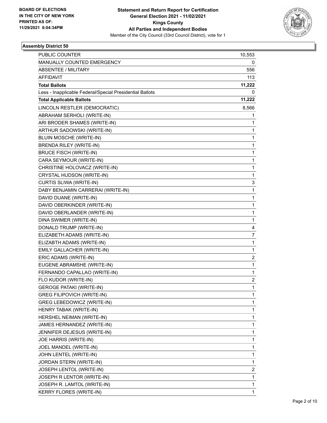

| <b>PUBLIC COUNTER</b>                                    | 10,553 |
|----------------------------------------------------------|--------|
| MANUALLY COUNTED EMERGENCY                               | 0      |
| ABSENTEE / MILITARY                                      | 556    |
| <b>AFFIDAVIT</b>                                         | 113    |
| <b>Total Ballots</b>                                     | 11,222 |
| Less - Inapplicable Federal/Special Presidential Ballots | 0      |
| <b>Total Applicable Ballots</b>                          | 11,222 |
| LINCOLN RESTLER (DEMOCRATIC)                             | 8,566  |
| ABRAHAM SERHOLI (WRITE-IN)                               | 1      |
| ARI BRODER SHAMES (WRITE-IN)                             | 1      |
| ARTHUR SADOWSKI (WRITE-IN)                               | 1      |
| BLUIN MOSCHE (WRITE-IN)                                  | 1      |
| BRENDA RILEY (WRITE-IN)                                  | 1      |
| <b>BRUCE FISCH (WRITE-IN)</b>                            | 1      |
| CARA SEYMOUR (WRITE-IN)                                  | 1      |
| CHRISTINE HOLOVACZ (WRITE-IN)                            | 1      |
| CRYSTAL HUDSON (WRITE-IN)                                | 1      |
| CURTIS SLIWA (WRITE-IN)                                  | 3      |
| DABY BENJAMIN CARRERAI (WRITE-IN)                        | 1      |
| DAVID DUANE (WRITE-IN)                                   | 1      |
| DAVID OBERKINDER (WRITE-IN)                              | 1      |
| DAVID OBERLANDER (WRITE-IN)                              | 1      |
| DINA SWIMER (WRITE-IN)                                   | 1      |
| DONALD TRUMP (WRITE-IN)                                  | 4      |
| ELIZABETH ADAMS (WRITE-IN)                               | 7      |
| ELIZABTH ADAMS (WRITE-IN)                                | 1      |
| EMILY GALLACHER (WRITE-IN)                               | 1      |
| ERIC ADAMS (WRITE-IN)                                    | 2      |
| EUGENE ABRAMSHE (WRITE-IN)                               | 1      |
| FERNANDO CAPALLAO (WRITE-IN)                             | 1      |
| FLO KUDOR (WRITE-IN)                                     | 2      |
| <b>GEROGE PATAKI (WRITE-IN)</b>                          | 1      |
| <b>GREG FILIPOVICH (WRITE-IN)</b>                        | 1      |
| GREG LEBEDOWICZ (WRITE-IN)                               | 1      |
| HENRY TABAK (WRITE-IN)                                   | 1      |
| HERSHEL NEIMAN (WRITE-IN)                                | 1      |
| JAMES HERNANDEZ (WRITE-IN)                               | 1      |
| JENNIFER DEJESUS (WRITE-IN)                              | 1      |
| JOE HARRIS (WRITE-IN)                                    | 1      |
| JOEL MANDEL (WRITE-IN)                                   | 1      |
| JOHN LENTEL (WRITE-IN)                                   | 1      |
| JORDAN STERN (WRITE-IN)                                  | 1      |
| JOSEPH LENTOL (WRITE-IN)                                 | 2      |
| JOSEPH R LENTOR (WRITE-IN)                               | 1      |
| JOSEPH R. LAMTOL (WRITE-IN)                              | 1      |
| KERRY FLORES (WRITE-IN)                                  | 1      |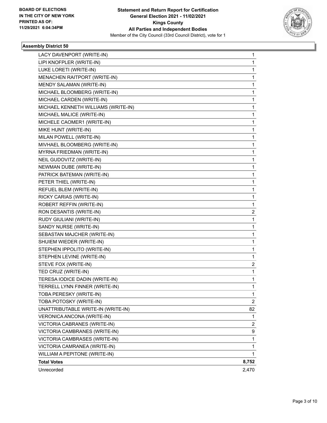

| LACY DAVENPORT (WRITE-IN)           | 1     |
|-------------------------------------|-------|
| LIPI KNOFPLER (WRITE-IN)            | 1     |
| LUKE LORETI (WRITE-IN)              | 1     |
| MENACHEN RAITPORT (WRITE-IN)        | 1     |
| MENDY SALAMAN (WRITE-IN)            | 1     |
| MICHAEL BLOOMBERG (WRITE-IN)        | 1     |
| MICHAEL CARDEN (WRITE-IN)           | 1     |
| MICHAEL KENNETH WILLIAMS (WRITE-IN) | 1     |
| MICHAEL MALICE (WRITE-IN)           | 1     |
| MICHELE CAOMER1 (WRITE-IN)          | 1     |
| MIKE HUNT (WRITE-IN)                | 1     |
| MILAN POWELL (WRITE-IN)             | 1     |
| MIVHAEL BLOOMBERG (WRITE-IN)        | 1     |
| MYRNA FRIEDMAN (WRITE-IN)           | 1     |
| NEIL GUDOVITZ (WRITE-IN)            | 1     |
| NEWMAN DUBE (WRITE-IN)              | 1     |
| PATRICK BATEMAN (WRITE-IN)          | 1     |
| PETER THIEL (WRITE-IN)              | 1     |
| REFUEL BLEM (WRITE-IN)              | 1     |
| RICKY CARIAS (WRITE-IN)             | 1     |
| ROBERT REFFIN (WRITE-IN)            | 1     |
| RON DESANTIS (WRITE-IN)             | 2     |
| RUDY GIULIANI (WRITE-IN)            | 1     |
| SANDY NURSE (WRITE-IN)              | 1     |
| SEBASTAN MAJCHER (WRITE-IN)         | 1     |
| SHUIEM WIEDER (WRITE-IN)            | 1     |
| STEPHEN IPPOLITO (WRITE-IN)         | 1     |
| STEPHEN LEVINE (WRITE-IN)           | 1     |
| STEVE FOX (WRITE-IN)                | 2     |
| TED CRUZ (WRITE-IN)                 | 1     |
| TERESA IODICE DADIN (WRITE-IN)      | 1     |
| TERRELL LYNN FINNER (WRITE-IN)      | 1     |
| TOBA PERESKY (WRITE-IN)             | 1     |
| TOBA POTOSKY (WRITE-IN)             | 2     |
| UNATTRIBUTABLE WRITE-IN (WRITE-IN)  | 82    |
| VERONICA ANCONA (WRITE-IN)          | 1     |
| VICTORIA CABRANES (WRITE-IN)        | 2     |
| VICTORIA CAMBRANES (WRITE-IN)       | 9     |
| VICTORIA CAMBRASES (WRITE-IN)       | 1     |
| VICTORIA CAMRANEA (WRITE-IN)        | 1     |
| WILLIAM A PEPITONE (WRITE-IN)       | 1     |
| <b>Total Votes</b>                  | 8,752 |
| Unrecorded                          | 2,470 |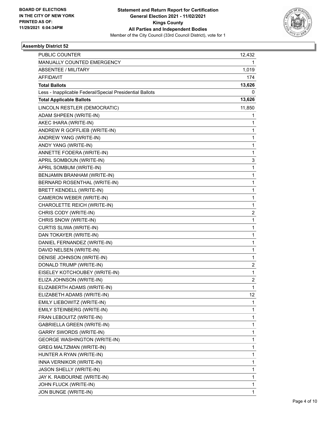

| <b>PUBLIC COUNTER</b>                                    | 12,432                  |
|----------------------------------------------------------|-------------------------|
| MANUALLY COUNTED EMERGENCY                               | 1                       |
| ABSENTEE / MILITARY                                      | 1,019                   |
| <b>AFFIDAVIT</b>                                         | 174                     |
| <b>Total Ballots</b>                                     | 13,626                  |
| Less - Inapplicable Federal/Special Presidential Ballots | 0                       |
| <b>Total Applicable Ballots</b>                          | 13,626                  |
| LINCOLN RESTLER (DEMOCRATIC)                             | 11,850                  |
| ADAM SHPEEN (WRITE-IN)                                   | 1                       |
| AKEC IHARA (WRITE-IN)                                    | 1                       |
| ANDREW R GOFFLIEB (WRITE-IN)                             | 1                       |
| ANDREW YANG (WRITE-IN)                                   | 1                       |
| ANDY YANG (WRITE-IN)                                     | 1                       |
| ANNETTE FODERA (WRITE-IN)                                | 1                       |
| APRIL SOMBOUN (WRITE-IN)                                 | 3                       |
| APRIL SOMBUM (WRITE-IN)                                  | 1                       |
| BENJAMIN BRANHAM (WRITE-IN)                              | 1                       |
| BERNARD ROSENTHAL (WRITE-IN)                             | 1                       |
| <b>BRETT KENDELL (WRITE-IN)</b>                          | 1                       |
| CAMERON WEBER (WRITE-IN)                                 | 1                       |
| CHAROLETTE REICH (WRITE-IN)                              | 1                       |
| CHRIS CODY (WRITE-IN)                                    | 2                       |
| CHRIS SNOW (WRITE-IN)                                    | 1                       |
| CURTIS SLIWA (WRITE-IN)                                  | 1                       |
| DAN TOKAYER (WRITE-IN)                                   | 1                       |
| DANIEL FERNANDEZ (WRITE-IN)                              | 1                       |
| DAVID NELSEN (WRITE-IN)                                  | 1                       |
| DENISE JOHNSON (WRITE-IN)                                | 1                       |
| DONALD TRUMP (WRITE-IN)                                  | $\overline{\mathbf{c}}$ |
| EISELEY KOTCHOUBEY (WRITE-IN)                            | 1                       |
| ELIZA JOHNSON (WRITE-IN)                                 | 2                       |
| ELIZABERTH ADAMS (WRITE-IN)                              | 1                       |
| ELIZABETH ADAMS (WRITE-IN)                               | 12                      |
| EMILY LIEBOWITZ (WRITE-IN)                               | 1                       |
| EMILY STEINBERG (WRITE-IN)                               | 1                       |
| FRAN LEBOUITZ (WRITE-IN)                                 | 1                       |
| <b>GABRIELLA GREEN (WRITE-IN)</b>                        | 1                       |
| <b>GARRY SWORDS (WRITE-IN)</b>                           | 1                       |
| <b>GEORGE WASHINGTON (WRITE-IN)</b>                      | 1                       |
| <b>GREG MALTZMAN (WRITE-IN)</b>                          | 1                       |
| HUNTER A RYAN (WRITE-IN)                                 | 1                       |
| INNA VERNIKOR (WRITE-IN)                                 | 1                       |
| JASON SHELLY (WRITE-IN)                                  | 1                       |
| JAY K. RAIBOURNE (WRITE-IN)                              | 1                       |
| JOHN FLUCK (WRITE-IN)                                    | 1                       |
| JON BUNGE (WRITE-IN)                                     | 1                       |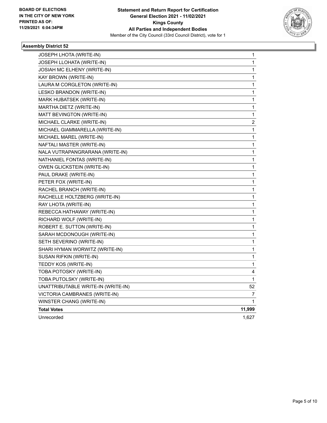

| JOSEPH LHOTA (WRITE-IN)            | 1                       |
|------------------------------------|-------------------------|
| JOSEPH LLOHATA (WRITE-IN)          | 1                       |
| JOSIAH MC ELHENY (WRITE-IN)        | 1                       |
| KAY BROWN (WRITE-IN)               | 1                       |
| LAURA M CORGLETON (WRITE-IN)       | 1                       |
| LESKO BRANDON (WRITE-IN)           | 1                       |
| MARK HUBATSEK (WRITE-IN)           | 1                       |
| MARTHA DIETZ (WRITE-IN)            | 1                       |
| MATT BEVINGTON (WRITE-IN)          | 1                       |
| MICHAEL CLARKE (WRITE-IN)          | $\overline{\mathbf{c}}$ |
| MICHAEL GIAMMARELLA (WRITE-IN)     | 1                       |
| MICHAEL MAREL (WRITE-IN)           | 1                       |
| NAFTALI MASTER (WRITE-IN)          | 1                       |
| NALA VUTRAPANGRARANA (WRITE-IN)    | 1                       |
| NATHANIEL FONTAS (WRITE-IN)        | 1                       |
| OWEN GLICKSTEIN (WRITE-IN)         | 1                       |
| PAUL DRAKE (WRITE-IN)              | 1                       |
| PETER FOX (WRITE-IN)               | 1                       |
| RACHEL BRANCH (WRITE-IN)           | 1                       |
| RACHELLE HOLTZBERG (WRITE-IN)      | 1                       |
| RAY LHOTA (WRITE-IN)               | 1                       |
| REBECCA HATHAWAY (WRITE-IN)        | 1                       |
| RICHARD WOLF (WRITE-IN)            | 1                       |
| ROBERT E. SUTTON (WRITE-IN)        | 1                       |
| SARAH MCDONOUGH (WRITE-IN)         | 1                       |
| SETH SEVERINO (WRITE-IN)           | 1                       |
| SHARI HYMAN WORWITZ (WRITE-IN)     | 1                       |
| SUSAN RIFKIN (WRITE-IN)            | 1                       |
| TEDDY KOS (WRITE-IN)               | 1                       |
| TOBA POTOSKY (WRITE-IN)            | 4                       |
| TOBA PUTOLSKY (WRITE-IN)           | 1                       |
| UNATTRIBUTABLE WRITE-IN (WRITE-IN) | 52                      |
| VICTORIA CAMBRANES (WRITE-IN)      | 7                       |
| WINSTER CHANG (WRITE-IN)           | 1                       |
| <b>Total Votes</b>                 | 11,999                  |
| Unrecorded                         | 1,627                   |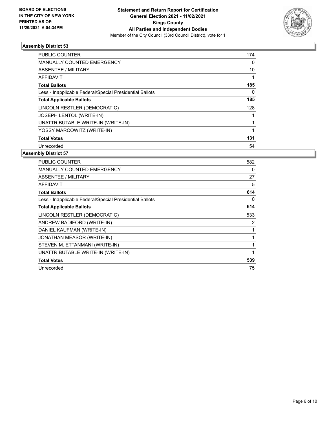

| 174 |
|-----|
| 0   |
| 10  |
|     |
| 185 |
| 0   |
| 185 |
| 128 |
|     |
|     |
|     |
| 131 |
| 54  |
|     |

| <b>PUBLIC COUNTER</b>                                    | 582 |
|----------------------------------------------------------|-----|
| <b>MANUALLY COUNTED EMERGENCY</b>                        | 0   |
| ABSENTEE / MILITARY                                      | 27  |
| AFFIDAVIT                                                | 5   |
| <b>Total Ballots</b>                                     | 614 |
| Less - Inapplicable Federal/Special Presidential Ballots | 0   |
| <b>Total Applicable Ballots</b>                          | 614 |
| LINCOLN RESTLER (DEMOCRATIC)                             | 533 |
| ANDREW BADIFORD (WRITE-IN)                               | 2   |
| DANIEL KAUFMAN (WRITE-IN)                                |     |
| <b>JONATHAN MEASOR (WRITE-IN)</b>                        |     |
| STEVEN M. ETTANMANI (WRITE-IN)                           |     |
| UNATTRIBUTABLE WRITE-IN (WRITE-IN)                       | 1   |
| <b>Total Votes</b>                                       | 539 |
| Unrecorded                                               | 75  |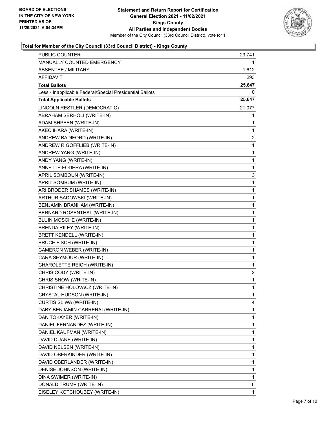

| PUBLIC COUNTER                                           | 23,741       |
|----------------------------------------------------------|--------------|
| MANUALLY COUNTED EMERGENCY                               | 1            |
| <b>ABSENTEE / MILITARY</b>                               | 1,612        |
| AFFIDAVIT                                                | 293          |
| <b>Total Ballots</b>                                     | 25,647       |
| Less - Inapplicable Federal/Special Presidential Ballots | 0            |
| <b>Total Applicable Ballots</b>                          | 25,647       |
| LINCOLN RESTLER (DEMOCRATIC)                             | 21,077       |
| ABRAHAM SERHOLI (WRITE-IN)                               | 1            |
| ADAM SHPEEN (WRITE-IN)                                   | 1            |
| AKEC IHARA (WRITE-IN)                                    | 1            |
| ANDREW BADIFORD (WRITE-IN)                               | 2            |
| ANDREW R GOFFLIEB (WRITE-IN)                             | 1            |
| ANDREW YANG (WRITE-IN)                                   | 1            |
| ANDY YANG (WRITE-IN)                                     | 1            |
| ANNETTE FODERA (WRITE-IN)                                | 1            |
| APRIL SOMBOUN (WRITE-IN)                                 | 3            |
| APRIL SOMBUM (WRITE-IN)                                  | 1            |
| ARI BRODER SHAMES (WRITE-IN)                             | 1            |
| ARTHUR SADOWSKI (WRITE-IN)                               | 1            |
| BENJAMIN BRANHAM (WRITE-IN)                              | 1            |
| BERNARD ROSENTHAL (WRITE-IN)                             | 1            |
| BLUIN MOSCHE (WRITE-IN)                                  | 1            |
| <b>BRENDA RILEY (WRITE-IN)</b>                           | 1            |
| <b>BRETT KENDELL (WRITE-IN)</b>                          | 1            |
| <b>BRUCE FISCH (WRITE-IN)</b>                            | 1            |
| CAMERON WEBER (WRITE-IN)                                 | 1            |
| CARA SEYMOUR (WRITE-IN)                                  | 1            |
| CHAROLETTE REICH (WRITE-IN)                              | 1            |
| CHRIS CODY (WRITE-IN)                                    | 2            |
| CHRIS SNOW (WRITE-IN)                                    | 1            |
| CHRISTINE HOLOVACZ (WRITE-IN)                            | $\mathbf{1}$ |
| CRYSTAL HUDSON (WRITE-IN)                                | 1            |
| CURTIS SLIWA (WRITE-IN)                                  | 4            |
| DABY BENJAMIN CARRERAI (WRITE-IN)                        | 1            |
| DAN TOKAYER (WRITE-IN)                                   | 1            |
| DANIEL FERNANDEZ (WRITE-IN)                              | 1            |
| DANIEL KAUFMAN (WRITE-IN)                                | 1            |
| DAVID DUANE (WRITE-IN)                                   | 1            |
| DAVID NELSEN (WRITE-IN)                                  | 1            |
| DAVID OBERKINDER (WRITE-IN)                              | 1            |
| DAVID OBERLANDER (WRITE-IN)                              | 1            |
| DENISE JOHNSON (WRITE-IN)                                | 1            |
| DINA SWIMER (WRITE-IN)                                   | 1            |
| DONALD TRUMP (WRITE-IN)                                  | 6            |
| EISELEY KOTCHOUBEY (WRITE-IN)                            | 1            |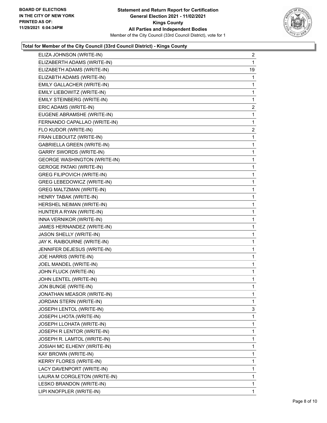

| ELIZA JOHNSON (WRITE-IN)            | $\overline{a}$ |
|-------------------------------------|----------------|
| ELIZABERTH ADAMS (WRITE-IN)         | 1              |
| ELIZABETH ADAMS (WRITE-IN)          | 19             |
| ELIZABTH ADAMS (WRITE-IN)           | 1              |
| EMILY GALLACHER (WRITE-IN)          | 1              |
| EMILY LIEBOWITZ (WRITE-IN)          | 1              |
| EMILY STEINBERG (WRITE-IN)          | 1              |
| ERIC ADAMS (WRITE-IN)               | $\overline{2}$ |
| EUGENE ABRAMSHE (WRITE-IN)          | 1              |
| FERNANDO CAPALLAO (WRITE-IN)        | 1              |
| FLO KUDOR (WRITE-IN)                | 2              |
| FRAN LEBOUITZ (WRITE-IN)            | 1              |
| GABRIELLA GREEN (WRITE-IN)          | 1              |
| <b>GARRY SWORDS (WRITE-IN)</b>      | 1              |
| <b>GEORGE WASHINGTON (WRITE-IN)</b> | 1              |
| <b>GEROGE PATAKI (WRITE-IN)</b>     | 1              |
| <b>GREG FILIPOVICH (WRITE-IN)</b>   | 1              |
| GREG LEBEDOWICZ (WRITE-IN)          | 1              |
| <b>GREG MALTZMAN (WRITE-IN)</b>     | 1              |
| HENRY TABAK (WRITE-IN)              | 1              |
| HERSHEL NEIMAN (WRITE-IN)           | 1              |
| HUNTER A RYAN (WRITE-IN)            | 1              |
| INNA VERNIKOR (WRITE-IN)            | 1              |
| JAMES HERNANDEZ (WRITE-IN)          | 1              |
| JASON SHELLY (WRITE-IN)             | 1              |
| JAY K. RAIBOURNE (WRITE-IN)         | 1              |
| JENNIFER DEJESUS (WRITE-IN)         | 1              |
| JOE HARRIS (WRITE-IN)               | 1              |
| JOEL MANDEL (WRITE-IN)              | $\mathbf{1}$   |
| JOHN FLUCK (WRITE-IN)               | 1              |
| JOHN LENTEL (WRITE-IN)              | 1              |
| JON BUNGE (WRITE-IN)                | 1              |
| JONATHAN MEASOR (WRITE-IN)          | 1              |
| JORDAN STERN (WRITE-IN)             | 1              |
| JOSEPH LENTOL (WRITE-IN)            | 3              |
| JOSEPH LHOTA (WRITE-IN)             | 1              |
| JOSEPH LLOHATA (WRITE-IN)           | 1              |
| JOSEPH R LENTOR (WRITE-IN)          | 1              |
| JOSEPH R. LAMTOL (WRITE-IN)         | 1              |
| JOSIAH MC ELHENY (WRITE-IN)         | 1              |
| KAY BROWN (WRITE-IN)                | 1              |
| KERRY FLORES (WRITE-IN)             | 1              |
| LACY DAVENPORT (WRITE-IN)           | 1              |
| LAURA M CORGLETON (WRITE-IN)        | 1              |
| LESKO BRANDON (WRITE-IN)            | 1              |
| LIPI KNOFPLER (WRITE-IN)            | 1              |
|                                     |                |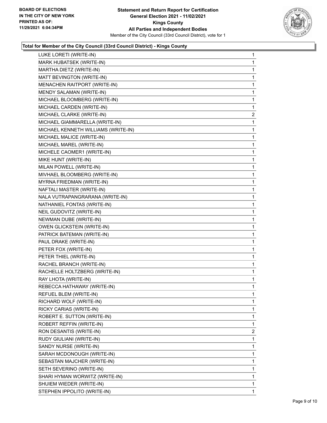

| LUKE LORETI (WRITE-IN)              | $\mathbf{1}$   |
|-------------------------------------|----------------|
| MARK HUBATSEK (WRITE-IN)            | 1              |
| MARTHA DIETZ (WRITE-IN)             | 1              |
| MATT BEVINGTON (WRITE-IN)           | 1              |
| MENACHEN RAITPORT (WRITE-IN)        | 1              |
| MENDY SALAMAN (WRITE-IN)            | 1              |
| MICHAEL BLOOMBERG (WRITE-IN)        | 1              |
| MICHAEL CARDEN (WRITE-IN)           | 1              |
| MICHAEL CLARKE (WRITE-IN)           | 2              |
| MICHAEL GIAMMARELLA (WRITE-IN)      | 1              |
| MICHAEL KENNETH WILLIAMS (WRITE-IN) | 1              |
| MICHAEL MALICE (WRITE-IN)           | 1              |
| MICHAEL MAREL (WRITE-IN)            | 1              |
| MICHELE CAOMER1 (WRITE-IN)          | 1              |
| MIKE HUNT (WRITE-IN)                | 1              |
| MILAN POWELL (WRITE-IN)             | 1              |
| MIVHAEL BLOOMBERG (WRITE-IN)        | 1              |
| MYRNA FRIEDMAN (WRITE-IN)           | 1              |
| NAFTALI MASTER (WRITE-IN)           | 1              |
| NALA VUTRAPANGRARANA (WRITE-IN)     | 1              |
| NATHANIEL FONTAS (WRITE-IN)         | 1              |
| NEIL GUDOVITZ (WRITE-IN)            | 1              |
| NEWMAN DUBE (WRITE-IN)              | 1              |
| OWEN GLICKSTEIN (WRITE-IN)          | 1              |
| PATRICK BATEMAN (WRITE-IN)          | 1              |
| PAUL DRAKE (WRITE-IN)               | 1              |
| PETER FOX (WRITE-IN)                | 1              |
| PETER THIEL (WRITE-IN)              | 1              |
| RACHEL BRANCH (WRITE-IN)            | 1              |
| RACHELLE HOLTZBERG (WRITE-IN)       | 1              |
| RAY LHOTA (WRITE-IN)                | 1              |
| REBECCA HATHAWAY (WRITE-IN)         | 1              |
| REFUEL BLEM (WRITE-IN)              | 1              |
| RICHARD WOLF (WRITE-IN)             | 1              |
| RICKY CARIAS (WRITE-IN)             | 1              |
| ROBERT E. SUTTON (WRITE-IN)         | 1              |
| ROBERT REFFIN (WRITE-IN)            | 1              |
| RON DESANTIS (WRITE-IN)             | $\overline{2}$ |
| RUDY GIULIANI (WRITE-IN)            | 1              |
| SANDY NURSE (WRITE-IN)              | 1              |
| SARAH MCDONOUGH (WRITE-IN)          | 1              |
| SEBASTAN MAJCHER (WRITE-IN)         | 1              |
| SETH SEVERINO (WRITE-IN)            | 1              |
| SHARI HYMAN WORWITZ (WRITE-IN)      | 1              |
| SHUIEM WIEDER (WRITE-IN)            | 1              |
| STEPHEN IPPOLITO (WRITE-IN)         | 1.             |